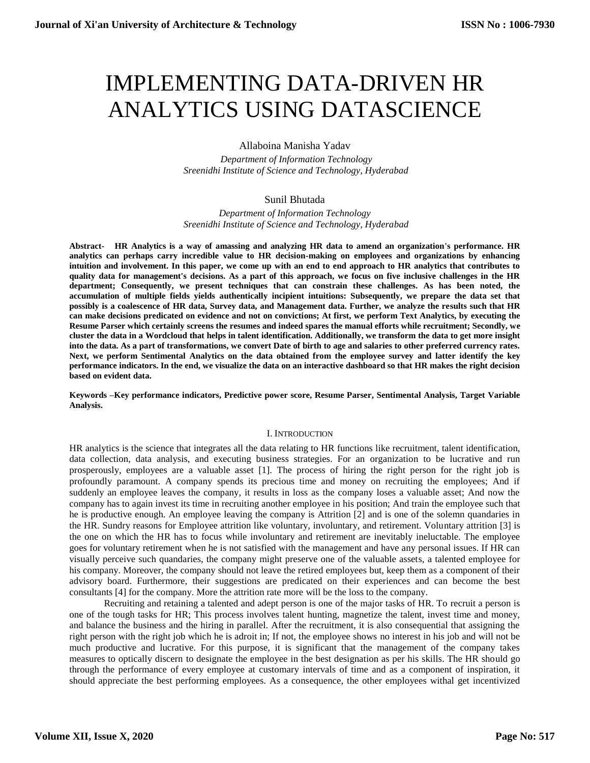# IMPLEMENTING DATA-DRIVEN HR ANALYTICS USING DATASCIENCE

Allaboina Manisha Yadav

 *Department of Information Technology Sreenidhi Institute of Science and Technology, Hyderabad* 

## Sunil Bhutada

*Department of Information Technology Sreenidhi Institute of Science and Technology, Hyderabad* 

**Abstract- HR Analytics is a way of amassing and analyzing HR data to amend an organization's performance. HR analytics can perhaps carry incredible value to HR decision-making on employees and organizations by enhancing intuition and involvement. In this paper, we come up with an end to end approach to HR analytics that contributes to quality data for management's decisions. As a part of this approach, we focus on five inclusive challenges in the HR department; Consequently, we present techniques that can constrain these challenges. As has been noted, the accumulation of multiple fields yields authentically incipient intuitions: Subsequently, we prepare the data set that possibly is a coalescence of HR data, Survey data, and Management data. Further, we analyze the results such that HR can make decisions predicated on evidence and not on convictions; At first, we perform Text Analytics, by executing the Resume Parser which certainly screens the resumes and indeed spares the manual efforts while recruitment; Secondly, we cluster the data in a Wordcloud that helps in talent identification. Additionally, we transform the data to get more insight into the data. As a part of transformations, we convert Date of birth to age and salaries to other preferred currency rates. Next, we perform Sentimental Analytics on the data obtained from the employee survey and latter identify the key performance indicators. In the end, we visualize the data on an interactive dashboard so that HR makes the right decision based on evident data.**

**Keywords –Key performance indicators, Predictive power score, Resume Parser, Sentimental Analysis, Target Variable Analysis.**

#### I. INTRODUCTION

HR analytics is the science that integrates all the data relating to HR functions like recruitment, talent identification, data collection, data analysis, and executing business strategies. For an organization to be lucrative and run prosperously, employees are a valuable asset [1]. The process of hiring the right person for the right job is profoundly paramount. A company spends its precious time and money on recruiting the employees; And if suddenly an employee leaves the company, it results in loss as the company loses a valuable asset; And now the company has to again invest its time in recruiting another employee in his position; And train the employee such that he is productive enough. An employee leaving the company is Attrition [2] and is one of the solemn quandaries in the HR. Sundry reasons for Employee attrition like voluntary, involuntary, and retirement. Voluntary attrition [3] is the one on which the HR has to focus while involuntary and retirement are inevitably ineluctable. The employee goes for voluntary retirement when he is not satisfied with the management and have any personal issues. If HR can visually perceive such quandaries, the company might preserve one of the valuable assets, a talented employee for his company. Moreover, the company should not leave the retired employees but, keep them as a component of their advisory board. Furthermore, their suggestions are predicated on their experiences and can become the best consultants [4] for the company. More the attrition rate more will be the loss to the company.

Recruiting and retaining a talented and adept person is one of the major tasks of HR. To recruit a person is one of the tough tasks for HR; This process involves talent hunting, magnetize the talent, invest time and money, and balance the business and the hiring in parallel. After the recruitment, it is also consequential that assigning the right person with the right job which he is adroit in; If not, the employee shows no interest in his job and will not be much productive and lucrative. For this purpose, it is significant that the management of the company takes measures to optically discern to designate the employee in the best designation as per his skills. The HR should go through the performance of every employee at customary intervals of time and as a component of inspiration, it should appreciate the best performing employees. As a consequence, the other employees withal get incentivized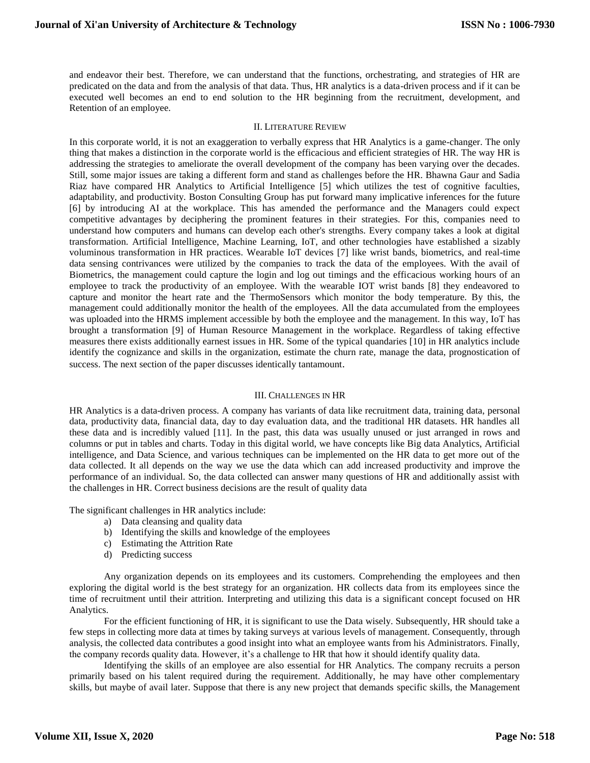and endeavor their best. Therefore, we can understand that the functions, orchestrating, and strategies of HR are predicated on the data and from the analysis of that data. Thus, HR analytics is a data-driven process and if it can be executed well becomes an end to end solution to the HR beginning from the recruitment, development, and Retention of an employee.

#### II. LITERATURE REVIEW

In this corporate world, it is not an exaggeration to verbally express that HR Analytics is a game-changer. The only thing that makes a distinction in the corporate world is the efficacious and efficient strategies of HR. The way HR is addressing the strategies to ameliorate the overall development of the company has been varying over the decades. Still, some major issues are taking a different form and stand as challenges before the HR. Bhawna Gaur and Sadia Riaz have compared HR Analytics to Artificial Intelligence [5] which utilizes the test of cognitive faculties, adaptability, and productivity. Boston Consulting Group has put forward many implicative inferences for the future [6] by introducing AI at the workplace. This has amended the performance and the Managers could expect competitive advantages by deciphering the prominent features in their strategies. For this, companies need to understand how computers and humans can develop each other's strengths. Every company takes a look at digital transformation. Artificial Intelligence, Machine Learning, IoT, and other technologies have established a sizably voluminous transformation in HR practices. Wearable IoT devices [7] like wrist bands, biometrics, and real-time data sensing contrivances were utilized by the companies to track the data of the employees. With the avail of Biometrics, the management could capture the login and log out timings and the efficacious working hours of an employee to track the productivity of an employee. With the wearable IOT wrist bands [8] they endeavored to capture and monitor the heart rate and the ThermoSensors which monitor the body temperature. By this, the management could additionally monitor the health of the employees. All the data accumulated from the employees was uploaded into the HRMS implement accessible by both the employee and the management. In this way, IoT has brought a transformation [9] of Human Resource Management in the workplace. Regardless of taking effective measures there exists additionally earnest issues in HR. Some of the typical quandaries [10] in HR analytics include identify the cognizance and skills in the organization, estimate the churn rate, manage the data, prognostication of success. The next section of the paper discusses identically tantamount.

#### III. CHALLENGES IN HR

HR Analytics is a data-driven process. A company has variants of data like recruitment data, training data, personal data, productivity data, financial data, day to day evaluation data, and the traditional HR datasets. HR handles all these data and is incredibly valued [11]. In the past, this data was usually unused or just arranged in rows and columns or put in tables and charts. Today in this digital world, we have concepts like Big data Analytics, Artificial intelligence, and Data Science, and various techniques can be implemented on the HR data to get more out of the data collected. It all depends on the way we use the data which can add increased productivity and improve the performance of an individual. So, the data collected can answer many questions of HR and additionally assist with the challenges in HR. Correct business decisions are the result of quality data

The significant challenges in HR analytics include:

- a) Data cleansing and quality data
- b) Identifying the skills and knowledge of the employees
- c) Estimating the Attrition Rate
- d) Predicting success

Any organization depends on its employees and its customers. Comprehending the employees and then exploring the digital world is the best strategy for an organization. HR collects data from its employees since the time of recruitment until their attrition. Interpreting and utilizing this data is a significant concept focused on HR Analytics.

For the efficient functioning of HR, it is significant to use the Data wisely. Subsequently, HR should take a few steps in collecting more data at times by taking surveys at various levels of management. Consequently, through analysis, the collected data contributes a good insight into what an employee wants from his Administrators. Finally, the company records quality data. However, it's a challenge to HR that how it should identify quality data.

Identifying the skills of an employee are also essential for HR Analytics. The company recruits a person primarily based on his talent required during the requirement. Additionally, he may have other complementary skills, but maybe of avail later. Suppose that there is any new project that demands specific skills, the Management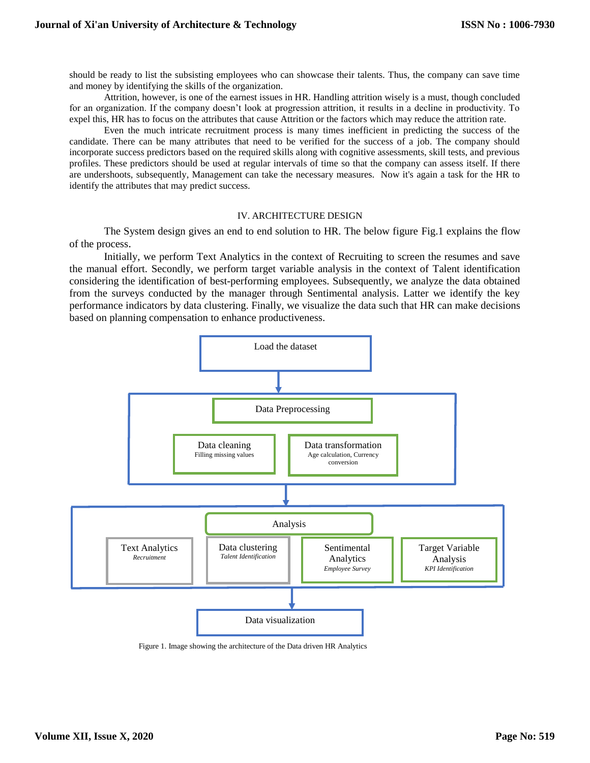should be ready to list the subsisting employees who can showcase their talents. Thus, the company can save time and money by identifying the skills of the organization.

Attrition, however, is one of the earnest issues in HR. Handling attrition wisely is a must, though concluded for an organization. If the company doesn't look at progression attrition, it results in a decline in productivity. To expel this, HR has to focus on the attributes that cause Attrition or the factors which may reduce the attrition rate.

Even the much intricate recruitment process is many times inefficient in predicting the success of the candidate. There can be many attributes that need to be verified for the success of a job. The company should incorporate success predictors based on the required skills along with cognitive assessments, skill tests, and previous profiles. These predictors should be used at regular intervals of time so that the company can assess itself. If there are undershoots, subsequently, Management can take the necessary measures. Now it's again a task for the HR to identify the attributes that may predict success.

#### IV. ARCHITECTURE DESIGN

The System design gives an end to end solution to HR. The below figure Fig.1 explains the flow of the process.

Initially, we perform Text Analytics in the context of Recruiting to screen the resumes and save the manual effort. Secondly, we perform target variable analysis in the context of Talent identification considering the identification of best-performing employees. Subsequently, we analyze the data obtained from the surveys conducted by the manager through Sentimental analysis. Latter we identify the key performance indicators by data clustering. Finally, we visualize the data such that HR can make decisions based on planning compensation to enhance productiveness.



Figure 1. Image showing the architecture of the Data driven HR Analytics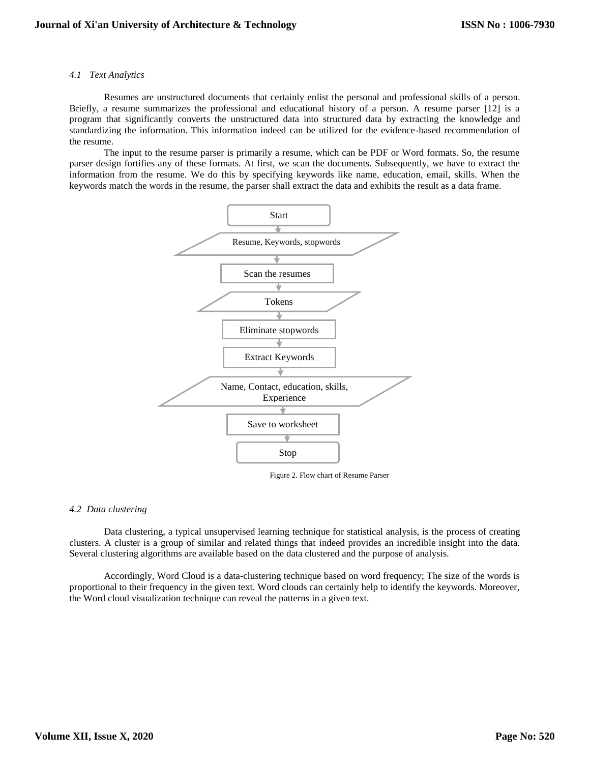#### *4.1 Text Analytics*

Resumes are unstructured documents that certainly enlist the personal and professional skills of a person. Briefly, a resume summarizes the professional and educational history of a person. A resume parser [12] is a program that significantly converts the unstructured data into structured data by extracting the knowledge and standardizing the information. This information indeed can be utilized for the evidence-based recommendation of the resume.

The input to the resume parser is primarily a resume, which can be PDF or Word formats. So, the resume parser design fortifies any of these formats. At first, we scan the documents. Subsequently, we have to extract the information from the resume. We do this by specifying keywords like name, education, email, skills. When the keywords match the words in the resume, the parser shall extract the data and exhibits the result as a data frame.



Figure 2. Flow chart of Resume Parser

#### *4.2 Data clustering*

Data clustering, a typical unsupervised learning technique for statistical analysis, is the process of creating clusters. A cluster is a group of similar and related things that indeed provides an incredible insight into the data. Several clustering algorithms are available based on the data clustered and the purpose of analysis.

Accordingly, Word Cloud is a data-clustering technique based on word frequency; The size of the words is proportional to their frequency in the given text. Word clouds can certainly help to identify the keywords. Moreover, the Word cloud visualization technique can reveal the patterns in a given text.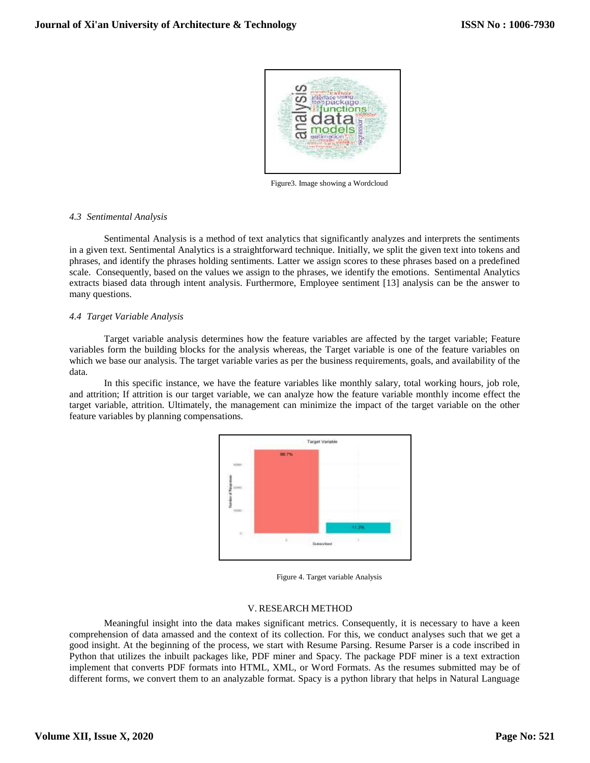

Figure3. Image showing a Wordcloud

### *4.3 Sentimental Analysis*

Sentimental Analysis is a method of text analytics that significantly analyzes and interprets the sentiments in a given text. Sentimental Analytics is a straightforward technique. Initially, we split the given text into tokens and phrases, and identify the phrases holding sentiments. Latter we assign scores to these phrases based on a predefined scale. Consequently, based on the values we assign to the phrases, we identify the emotions. Sentimental Analytics extracts biased data through intent analysis. Furthermore, Employee sentiment [13] analysis can be the answer to many questions.

#### *4.4 Target Variable Analysis*

Target variable analysis determines how the feature variables are affected by the target variable; Feature variables form the building blocks for the analysis whereas, the Target variable is one of the feature variables on which we base our analysis. The target variable varies as per the business requirements, goals, and availability of the data.

In this specific instance, we have the feature variables like monthly salary, total working hours, job role, and attrition; If attrition is our target variable, we can analyze how the feature variable monthly income effect the target variable, attrition. Ultimately, the management can minimize the impact of the target variable on the other feature variables by planning compensations.



Figure 4. Target variable Analysis

#### V. RESEARCH METHOD

Meaningful insight into the data makes significant metrics. Consequently, it is necessary to have a keen comprehension of data amassed and the context of its collection. For this, we conduct analyses such that we get a good insight. At the beginning of the process, we start with Resume Parsing. Resume Parser is a code inscribed in Python that utilizes the inbuilt packages like, PDF miner and Spacy. The package PDF miner is a text extraction implement that converts PDF formats into HTML, XML, or Word Formats. As the resumes submitted may be of different forms, we convert them to an analyzable format. Spacy is a python library that helps in Natural Language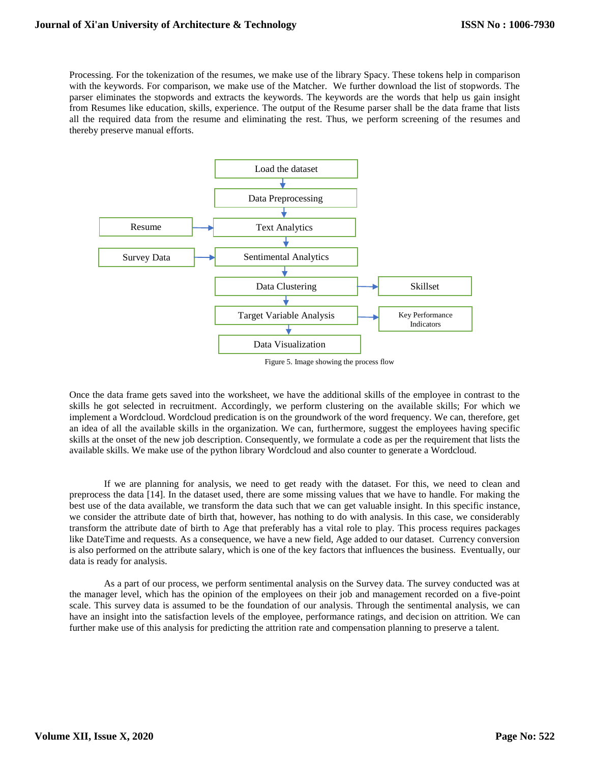Processing. For the tokenization of the resumes, we make use of the library Spacy. These tokens help in comparison with the keywords. For comparison, we make use of the Matcher. We further download the list of stopwords. The parser eliminates the stopwords and extracts the keywords. The keywords are the words that help us gain insight from Resumes like education, skills, experience. The output of the Resume parser shall be the data frame that lists all the required data from the resume and eliminating the rest. Thus, we perform screening of the resumes and thereby preserve manual efforts.



Figure 5. Image showing the process flow

Once the data frame gets saved into the worksheet, we have the additional skills of the employee in contrast to the skills he got selected in recruitment. Accordingly, we perform clustering on the available skills; For which we implement a Wordcloud. Wordcloud predication is on the groundwork of the word frequency. We can, therefore, get an idea of all the available skills in the organization. We can, furthermore, suggest the employees having specific skills at the onset of the new job description. Consequently, we formulate a code as per the requirement that lists the available skills. We make use of the python library Wordcloud and also counter to generate a Wordcloud.

If we are planning for analysis, we need to get ready with the dataset. For this, we need to clean and preprocess the data [14]. In the dataset used, there are some missing values that we have to handle. For making the best use of the data available, we transform the data such that we can get valuable insight. In this specific instance, we consider the attribute date of birth that, however, has nothing to do with analysis. In this case, we considerably transform the attribute date of birth to Age that preferably has a vital role to play. This process requires packages like DateTime and requests. As a consequence, we have a new field, Age added to our dataset. Currency conversion is also performed on the attribute salary, which is one of the key factors that influences the business. Eventually, our data is ready for analysis.

As a part of our process, we perform sentimental analysis on the Survey data. The survey conducted was at the manager level, which has the opinion of the employees on their job and management recorded on a five-point scale. This survey data is assumed to be the foundation of our analysis. Through the sentimental analysis, we can have an insight into the satisfaction levels of the employee, performance ratings, and decision on attrition. We can further make use of this analysis for predicting the attrition rate and compensation planning to preserve a talent.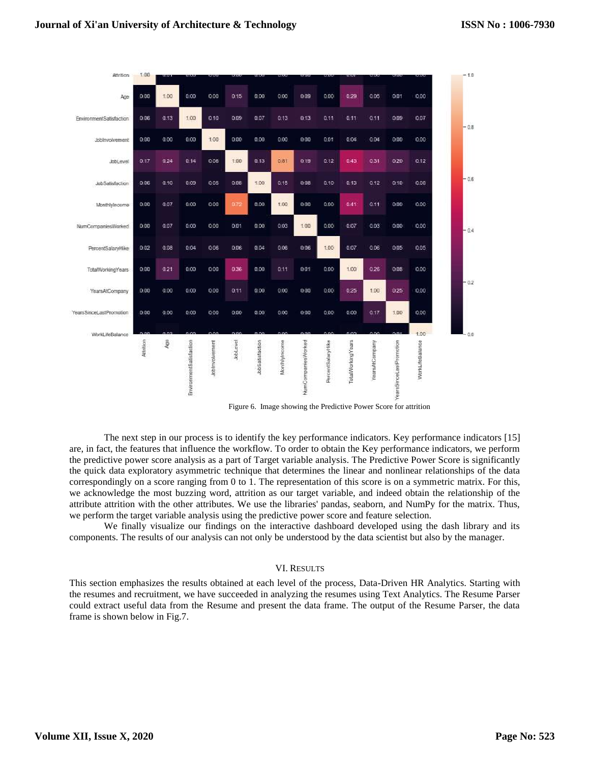

Figure 6. Image showing the Predictive Power Score for attrition

The next step in our process is to identify the key performance indicators. Key performance indicators [15] are, in fact, the features that influence the workflow. To order to obtain the Key performance indicators, we perform the predictive power score analysis as a part of Target variable analysis. The Predictive Power Score is significantly the quick data exploratory asymmetric technique that determines the linear and nonlinear relationships of the data correspondingly on a score ranging from 0 to 1. The representation of this score is on a symmetric matrix. For this, we acknowledge the most buzzing word, attrition as our target variable, and indeed obtain the relationship of the attribute attrition with the other attributes. We use the libraries' pandas, seaborn, and NumPy for the matrix. Thus, we perform the target variable analysis using the predictive power score and feature selection.

We finally visualize our findings on the interactive dashboard developed using the dash library and its components. The results of our analysis can not only be understood by the data scientist but also by the manager.

#### VI. RESULTS

This section emphasizes the results obtained at each level of the process, Data-Driven HR Analytics. Starting with the resumes and recruitment, we have succeeded in analyzing the resumes using Text Analytics. The Resume Parser could extract useful data from the Resume and present the data frame. The output of the Resume Parser, the data frame is shown below in Fig.7.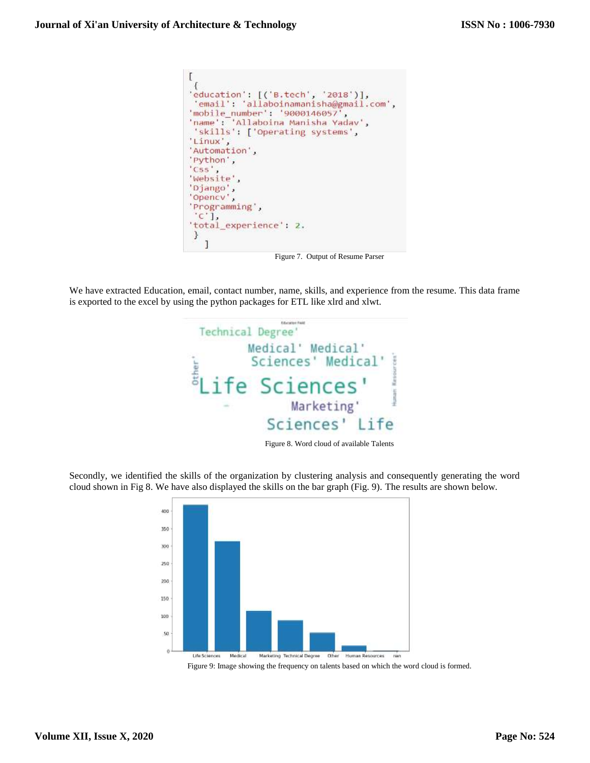```
ſ
'education': [('B.tech', '2018')],
 'email': 'allaboinamanisha@gmail.com',
'mobile_number': '9000146057',
'name': 'Allaboina Manisha Yadav',
 'skills': ['Operating systems',
'Linux',
'Automation',
'Python',
'Css',
'Website',
'Django',<br>'Opencv',
'Programming',
 C^1.
'total_experience': 2.
\mathcal{Y}1
```
Figure 7. Output of Resume Parser

We have extracted Education, email, contact number, name, skills, and experience from the resume. This data frame is exported to the excel by using the python packages for ETL like xlrd and xlwt.



Figure 8. Word cloud of available Talents

Secondly, we identified the skills of the organization by clustering analysis and consequently generating the word cloud shown in Fig 8. We have also displayed the skills on the bar graph (Fig. 9). The results are shown below.



Figure 9: Image showing the frequency on talents based on which the word cloud is formed.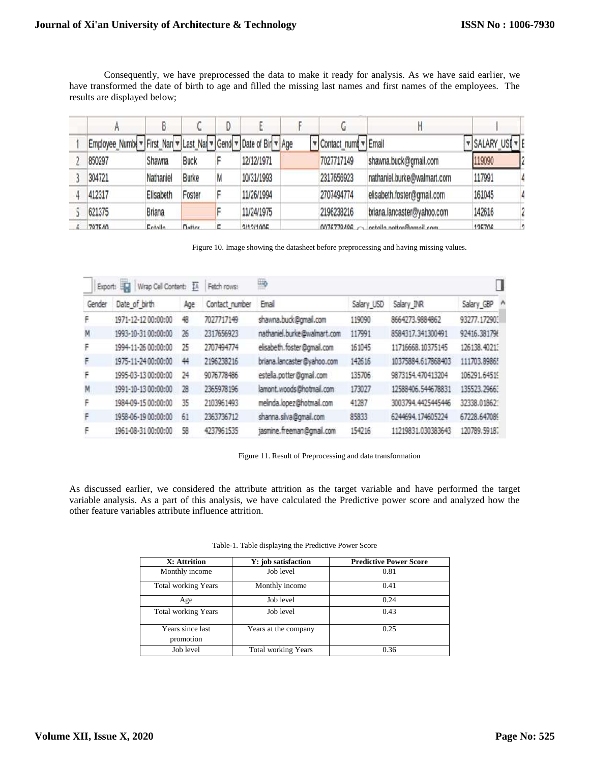Consequently, we have preprocessed the data to make it ready for analysis. As we have said earlier, we have transformed the date of birth to age and filled the missing last names and first names of the employees. The results are displayed below;

| Employee_Numb( v First_Nan v Last_Nan v Gend v Date of Bir v Age |               |              |   |            | Contact_numby Email |                             | <b>v</b> SALARY USI v E |  |
|------------------------------------------------------------------|---------------|--------------|---|------------|---------------------|-----------------------------|-------------------------|--|
| 850297                                                           | Shawna        | <b>Buck</b>  |   | 12/12/1971 | 7027717149          | shawna.buck@gmail.com       | 119090                  |  |
| 304721                                                           | Nathaniel     | <b>Burke</b> | M | 10/31/1993 | 2317656923          | nathaniel.burke@walmart.com | 117991                  |  |
| 412317                                                           | Elisabeth     | Foster       |   | 11/26/1994 | 2707494774          | elisabeth.foster@gmail.com  | 161045                  |  |
| 621375                                                           | <b>Briana</b> |              |   | 11/24/1975 | 2196238216          | briana.lancaster@yahoo.com  | 142616                  |  |
| 707640                                                           | Entalla       | Dottor       |   | 211211005  | 0010770406          | octolla pottar@amail.com    | 105706                  |  |

Figure 10. Image showing the datasheet before preprocessing and having missing values.

| Wrap Cell Content: 16<br>Export: |                     |     | Đ<br>Fetch rows: |                             |            |                    |              |   |  |
|----------------------------------|---------------------|-----|------------------|-----------------------------|------------|--------------------|--------------|---|--|
| Gender                           | Date of birth       | Age | Contact_number   | Email                       | Salary USD | Salary INR         | Salary GBP   | Λ |  |
| F                                | 1971-12-12 00:00:00 | 48  | 7027717149       | shawna.buck@gmail.com       | 119090     | 8664273.9884862    | 93277.17290. |   |  |
| M                                | 1993-10-31 00:00:00 | 26  | 2317656923       | nathaniel.burke@walmart.com | 117991     | 8584317.341300491  | 92416.381796 |   |  |
| F                                | 1994-11-26 00:00:00 | 25  | 2707494774       | elisabeth.foster@gmail.com  | 161045     | 11716668.10375145  | 126138.4021  |   |  |
| F                                | 1975-11-24 00:00:00 | 44  | 2196238216       | briana.lancaster@yahoo.com  | 142616     | 10375884.617868403 | 111703.89865 |   |  |
| F                                | 1995-03-13 00:00:00 | 24  | 9076778486       | estella.potter@gmail.com    | 135706     | 9873154.470413204  | 106291.64519 |   |  |
| M                                | 1991-10-13 00:00:00 | 28  | 2365978196       | lamont.woods@hotmail.com    | 173027     | 12588406.544678831 | 135523.2966  |   |  |
| F                                | 1984-09-15 00:00:00 | 35  | 2103961493       | melinda.lopez@hotmail.com   | 41287      | 3003794.4425445446 | 32338.01862  |   |  |
| F                                | 1958-06-19 00:00:00 | 61  | 2363736712       | shanna.silva@gmail.com      | 85833      | 6244694.174605224  | 67228.647089 |   |  |
| ۴                                | 1961-08-31 00:00:00 | 58  | 4237961535       | jasmine.freeman@gmail.com   | 154216     | 11219831.030383643 | 120789.59187 |   |  |

Figure 11. Result of Preprocessing and data transformation

As discussed earlier, we considered the attribute attrition as the target variable and have performed the target variable analysis. As a part of this analysis, we have calculated the Predictive power score and analyzed how the other feature variables attribute influence attrition.

| X: Attrition                  | Y: job satisfaction        | <b>Predictive Power Score</b> |
|-------------------------------|----------------------------|-------------------------------|
| Monthly income                | Job level                  | 0.81                          |
| <b>Total working Years</b>    | Monthly income             | 0.41                          |
| Age                           | Job level                  | 0.24                          |
| <b>Total working Years</b>    | Job level                  | 0.43                          |
| Years since last<br>promotion | Years at the company       | 0.25                          |
| Job level                     | <b>Total working Years</b> | 0.36                          |

Table-1. Table displaying the Predictive Power Score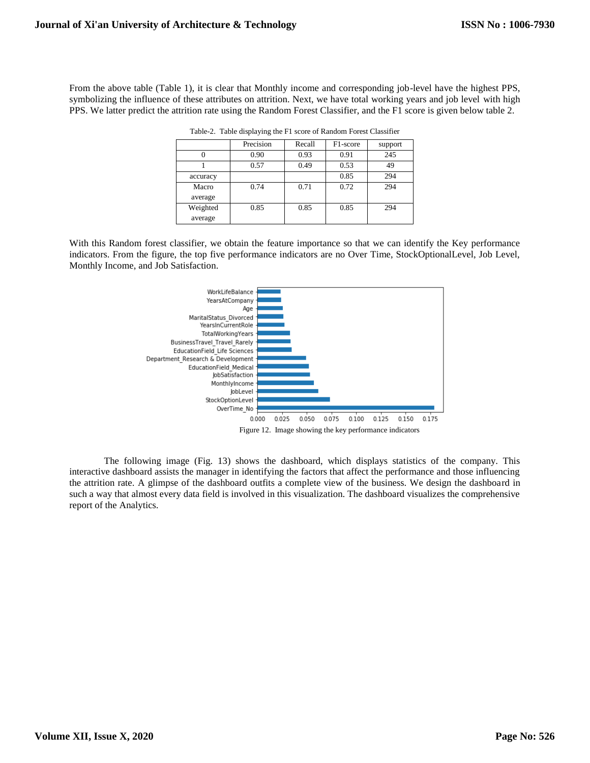From the above table (Table 1), it is clear that Monthly income and corresponding job-level have the highest PPS, symbolizing the influence of these attributes on attrition. Next, we have total working years and job level with high PPS. We latter predict the attrition rate using the Random Forest Classifier, and the F1 score is given below table 2.

|                     | Precision | Recall | F1-score | support |
|---------------------|-----------|--------|----------|---------|
|                     | 0.90      | 0.93   | 0.91     | 245     |
|                     | 0.57      | 0.49   | 0.53     | 49      |
| accuracy            |           |        | 0.85     | 294     |
| Macro<br>average    | 0.74      | 0.71   | 0.72     | 294     |
| Weighted<br>average | 0.85      | 0.85   | 0.85     | 294     |

Table-2. Table displaying the F1 score of Random Forest Classifier

With this Random forest classifier, we obtain the feature importance so that we can identify the Key performance indicators. From the figure, the top five performance indicators are no Over Time, StockOptionalLevel, Job Level, Monthly Income, and Job Satisfaction.



The following image (Fig. 13) shows the dashboard, which displays statistics of the company. This interactive dashboard assists the manager in identifying the factors that affect the performance and those influencing the attrition rate. A glimpse of the dashboard outfits a complete view of the business. We design the dashboard in such a way that almost every data field is involved in this visualization. The dashboard visualizes the comprehensive report of the Analytics.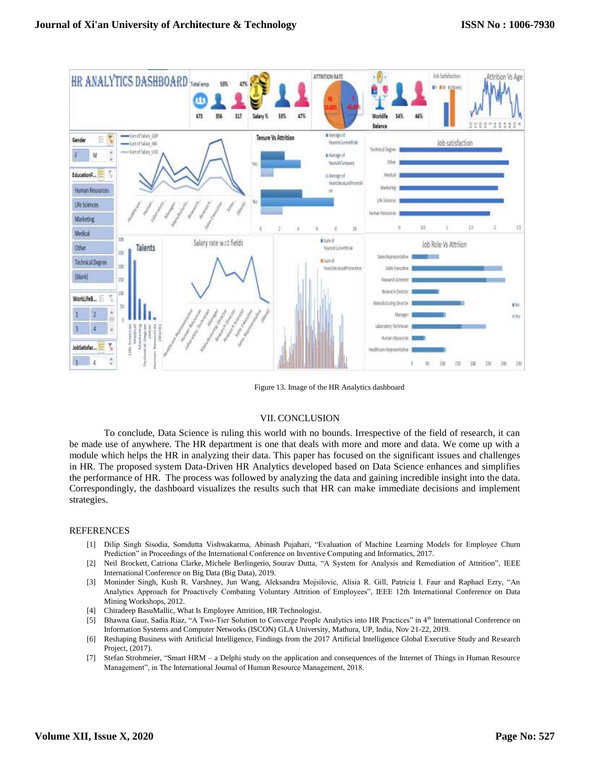

Figure 13. Image of the HR Analytics dashboard

#### VII. CONCLUSION

To conclude, Data Science is ruling this world with no bounds. Irrespective of the field of research, it can be made use of anywhere. The HR department is one that deals with more and more and data. We come up with a module which helps the HR in analyzing their data. This paper has focused on the significant issues and challenges in HR. The proposed system Data-Driven HR Analytics developed based on Data Science enhances and simplifies the performance of HR. The process was followed by analyzing the data and gaining incredible insight into the data. Correspondingly, the dashboard visualizes the results such that HR can make immediate decisions and implement strategies.

#### REFERENCES

- [1] Dilip Singh Sisodia, Somdutta Vishwakarma, Abinash Pujahari, "Evaluation of Machine Learning Models for Employee Churn Prediction" in Proceedings of the International Conference on Inventive Computing and Informatics, 2017.
- [2] Neil Brockett, Catriona Clarke, Michele Berlingerio, Sourav Dutta, "A System for Analysis and Remediation of Attrition", IEEE International Conference on Big Data (Big Data), 2019.
- [3] Moninder Singh, Kush R. Varshney, Jun Wang, Aleksandra Mojsilovic, Alisia R. Gill, Patricia I. Faur and Raphael Ezry, "An Analytics Approach for Proactively Combating Voluntary Attrition of Employees", IEEE 12th International Conference on Data Mining Workshops, 2012.
- [4] Chiradeep BasuMallic, What Is Employee Attrition, HR Technologist.
- [5] Bhawna Gaur, Sadia Riaz, "A Two-Tier Solution to Converge People Analytics into HR Practices" in 4th International Conference on Information Systems and Computer Networks (ISCON) GLA University, Mathura, UP, India, Nov 21-22, 2019.
- [6] Reshaping Business with Artificial Intelligence, Findings from the 2017 Artificial Intelligence Global Executive Study and Research Project, (2017).
- [7] Stefan Strohmeier, "Smart HRM a Delphi study on the application and consequences of the Internet of Things in Human Resource Management", in The International Journal of Human Resource Management, 2018.